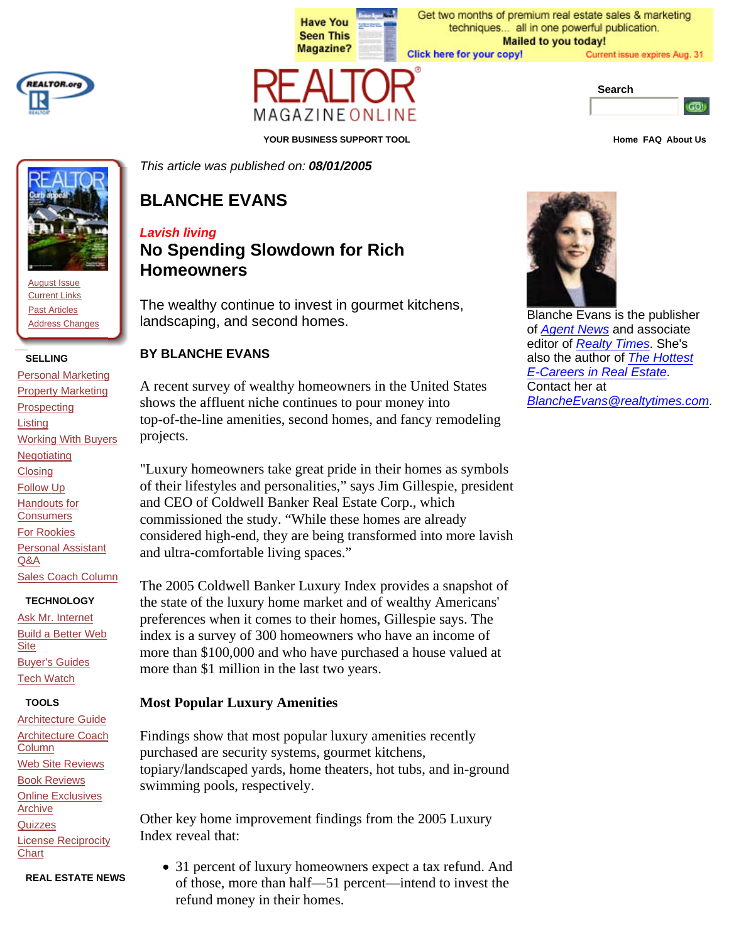



August Issue Current Links Past Articles Address Changes

**SELLING**

Personal Marketing Property Marketing **Prospecting** Listing Working With Buyers Negotiating **Closing** Follow Up **Handouts for Consumers** For Rookies Personal Assistant Q&A Sales Coach Column

#### **TECHNOLOGY**

Ask Mr. Internet Build a Better Web **Site** Buyer's Guides Tech Watch

#### **TOOLS**

Architecture Guide Architecture Coach Column Web Site Reviews Book Reviews Online Exclusives Archive **Quizzes** License Reciprocity **Chart** 

**REAL ESTATE NEWS**

**Have You Seen This Magazine?** 

Get two months of premium real estate sales & marketing techniques... all in one powerful publication. **Mailed to you today!** Click here for your copy! Current issue expires Aug. 31



**YOUR BUSINESS SUPPORT TOOL Home FAQ About Us**

*This article was published on: 08/01/2005*

# **BLANCHE EVANS**

# *Lavish living*

# **No Spending Slowdown for Rich Homeowners**

The wealthy continue to invest in gourmet kitchens, landscaping, and second homes.

## **BY BLANCHE EVANS**

A recent survey of wealthy homeowners in the United States shows the affluent niche continues to pour money into top-of-the-line amenities, second homes, and fancy remodeling projects.

"Luxury homeowners take great pride in their homes as symbols of their lifestyles and personalities," says Jim Gillespie, president and CEO of Coldwell Banker Real Estate Corp., which commissioned the study. "While these homes are already considered high-end, they are being transformed into more lavish and ultra-comfortable living spaces."

The 2005 Coldwell Banker Luxury Index provides a snapshot of the state of the luxury home market and of wealthy Americans' preferences when it comes to their homes, Gillespie says. The index is a survey of 300 homeowners who have an income of more than \$100,000 and who have purchased a house valued at more than \$1 million in the last two years.

# **Most Popular Luxury Amenities**

Findings show that most popular luxury amenities recently purchased are security systems, gourmet kitchens, topiary/landscaped yards, home theaters, hot tubs, and in-ground swimming pools, respectively.

Other key home improvement findings from the 2005 Luxury Index reveal that:

• 31 percent of luxury homeowners expect a tax refund. And of those, more than half—51 percent—intend to invest the refund money in their homes.



Blanche Evans is the publisher of *Agent News* and associate editor of *Realty Times*. She's also the author of *The Hottest E-Careers in Real Estate*. Contact her at *BlancheEvans@realtytimes.com*.



GO!